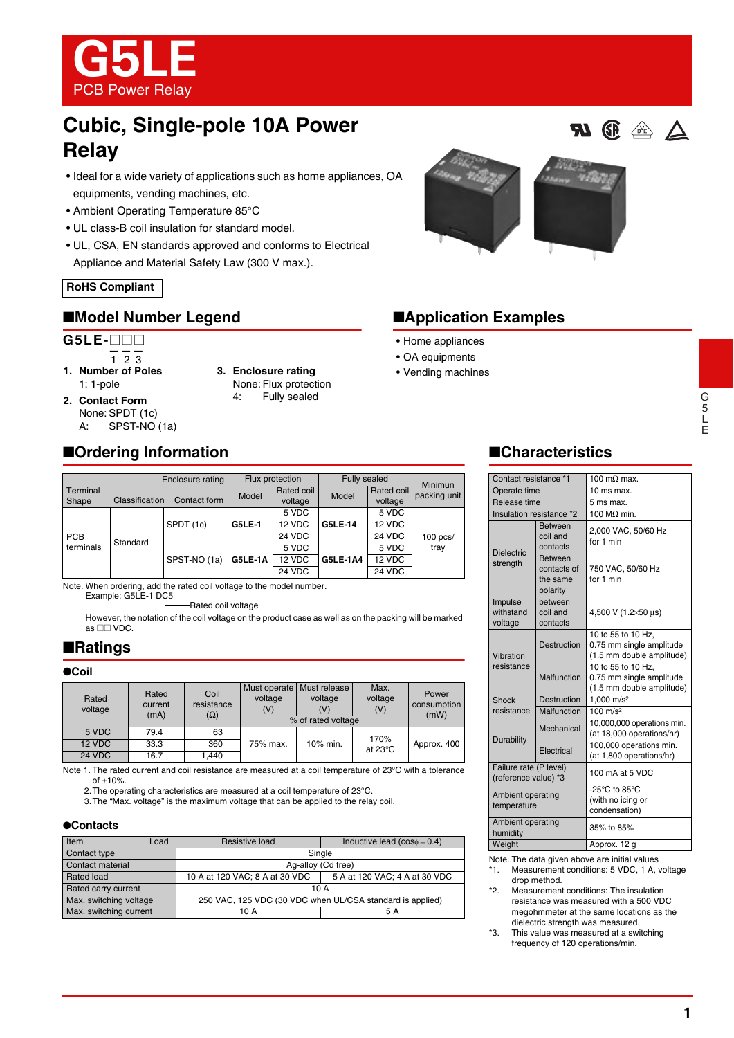

# **Cubic, Single-pole 10A Power Relay**

- Ideal for a wide variety of applications such as home appliances, OA equipments, vending machines, etc.
- Ambient Operating Temperature 85°C
- UL class-B coil insulation for standard model.
- UL, CSA, EN standards approved and conforms to Electrical Appliance and Material Safety Law (300 V max.).

#### **RoHS Compliant**

## ■**Model Number Legend** ■**Application Examples**

#### **G5LE-**@@@

- $\frac{1}{1}$  2 3
- **1. Number of Poles** 1: 1-pole
- **3. Enclosure rating** None: Flux protection
- **2. Contact Form** None: SPDT (1c) A: SPST-NO (1a)
- 4: Fully sealed



- Home appliances
- OA equipments
- Vending machines

## ■**Characteristics**

| Contact resistance *1                          |                                                       | 100 m $\Omega$ max.                                                         |  |  |
|------------------------------------------------|-------------------------------------------------------|-----------------------------------------------------------------------------|--|--|
| Operate time                                   |                                                       | 10 ms max.                                                                  |  |  |
| Release time                                   |                                                       | 5 ms max.                                                                   |  |  |
|                                                | Insulation resistance *2                              | 100 $M\Omega$ min.                                                          |  |  |
|                                                | <b>Between</b><br>coil and<br>contacts                | 2,000 VAC, 50/60 Hz<br>for 1 min                                            |  |  |
| <b>Dielectric</b><br>strength                  | <b>Between</b><br>contacts of<br>the same<br>polarity | 750 VAC, 50/60 Hz<br>for 1 min                                              |  |  |
| Impulse<br>withstand<br>voltage                | between<br>coil and<br>contacts                       | 4,500 V (1.2×50 µs)                                                         |  |  |
| Vibration<br>resistance                        | <b>Destruction</b>                                    | 10 to 55 to 10 Hz,<br>0.75 mm single amplitude<br>(1.5 mm double amplitude) |  |  |
|                                                | Malfunction                                           | 10 to 55 to 10 Hz,<br>0.75 mm single amplitude<br>(1.5 mm double amplitude) |  |  |
| Shock                                          | Destruction                                           | 1.000 m/s <sup>2</sup>                                                      |  |  |
| resistance                                     | Malfunction                                           | $100 \text{ m/s}^2$                                                         |  |  |
|                                                | Mechanical                                            | 10,000,000 operations min.<br>(at 18,000 operations/hr)                     |  |  |
| Durability                                     | Electrical                                            | 100,000 operations min.<br>(at 1,800 operations/hr)                         |  |  |
| Failure rate (P level)<br>(reference value) *3 |                                                       | 100 mA at 5 VDC                                                             |  |  |
| Ambient operating<br>temperature               |                                                       | -25°C to 85°C<br>(with no icing or<br>condensation)                         |  |  |
| Ambient operating<br>humidity                  |                                                       | 35% to 85%                                                                  |  |  |
| Weight                                         |                                                       | Approx. 12 g                                                                |  |  |

Note. The data given above are initial values

- \*1. Measurement conditions: 5 VDC, 1 A, voltage drop method.
- \*2. Measurement conditions: The insulation resistance was measured with a 500 VDC megohmmeter at the same locations as the dielectric strength was measured.

\*3. This value was measured at a switching frequency of 120 operations/min.

# ■**Ordering Information**

|                         |                | Enclosure rating | Flux protection |                       | <b>Fully sealed</b> |                       | Minimun            |
|-------------------------|----------------|------------------|-----------------|-----------------------|---------------------|-----------------------|--------------------|
| Terminal<br>Shape       | Classification | Contact form     | Model           | Rated coil<br>voltage | Model               | Rated coil<br>voltage | packing unit       |
| <b>PCB</b><br>terminals | Standard       | SPDT (1c)        | <b>G5LE-1</b>   | 5 VDC                 | <b>G5LE-14</b>      | 5 VDC                 | $100$ pcs/<br>tray |
|                         |                |                  |                 | 12 VDC                |                     | 12 VDC                |                    |
|                         |                |                  |                 | 24 VDC                |                     | 24 VDC                |                    |
|                         |                | SPST-NO (1a)     | G5LE-1A         | 5 VDC                 | <b>G5LE-1A4</b>     | 5 VDC                 |                    |
|                         |                |                  |                 | 12 VDC                |                     | 12 VDC                |                    |
|                         |                |                  |                 | 24 VDC                |                     | 24 VDC                |                    |

Note. When ordering, add the rated coil voltage to the model number. Example: G5LE-1 DC5

Rated coil voltage

However, the notation of the coil voltage on the product case as well as on the packing will be marked as  $\square\square$  VDC.

#### ■**Ratings**

#### ●**Coil**

| Rated<br>voltage | Rated<br>current<br>(mA) | Coil<br>resistance<br>$(\Omega)$ | Must operate<br>voltage<br>(V) | Must release<br>voltage<br>(V) | Max.<br>voltage<br>(V) | Power<br>consumption<br>(mW) |  |
|------------------|--------------------------|----------------------------------|--------------------------------|--------------------------------|------------------------|------------------------------|--|
|                  |                          |                                  |                                | % of rated voltage             |                        |                              |  |
| 5 VDC            | 79.4                     | 63                               |                                |                                | 170%                   |                              |  |
| 12 VDC           | 33.3                     | 360                              | 75% max.                       | 10% min.                       | at $23^{\circ}$ C      | Approx. 400                  |  |
| 24 VDC           | 16.7                     | 1.440                            |                                |                                |                        |                              |  |

Note 1. The rated current and coil resistance are measured at a coil temperature of 23°C with a tolerance of  $\pm 10%$ 

2.The operating characteristics are measured at a coil temperature of 23°C.

3.The "Max. voltage" is the maximum voltage that can be applied to the relay coil.

#### ●**Contacts**

| Item                   | Load | Resistive load                                            | Inductive lead $(cos\phi = 0.4)$ |  |  |
|------------------------|------|-----------------------------------------------------------|----------------------------------|--|--|
| Contact type           |      | Single                                                    |                                  |  |  |
| Contact material       |      | Ag-alloy (Cd free)                                        |                                  |  |  |
| Rated load             |      | 10 A at 120 VAC; 8 A at 30 VDC                            | 5 A at 120 VAC; 4 A at 30 VDC    |  |  |
| Rated carry current    |      | 10 A                                                      |                                  |  |  |
| Max. switching voltage |      | 250 VAC, 125 VDC (30 VDC when UL/CSA standard is applied) |                                  |  |  |
| Max. switching current |      | 10 A<br>5 A                                               |                                  |  |  |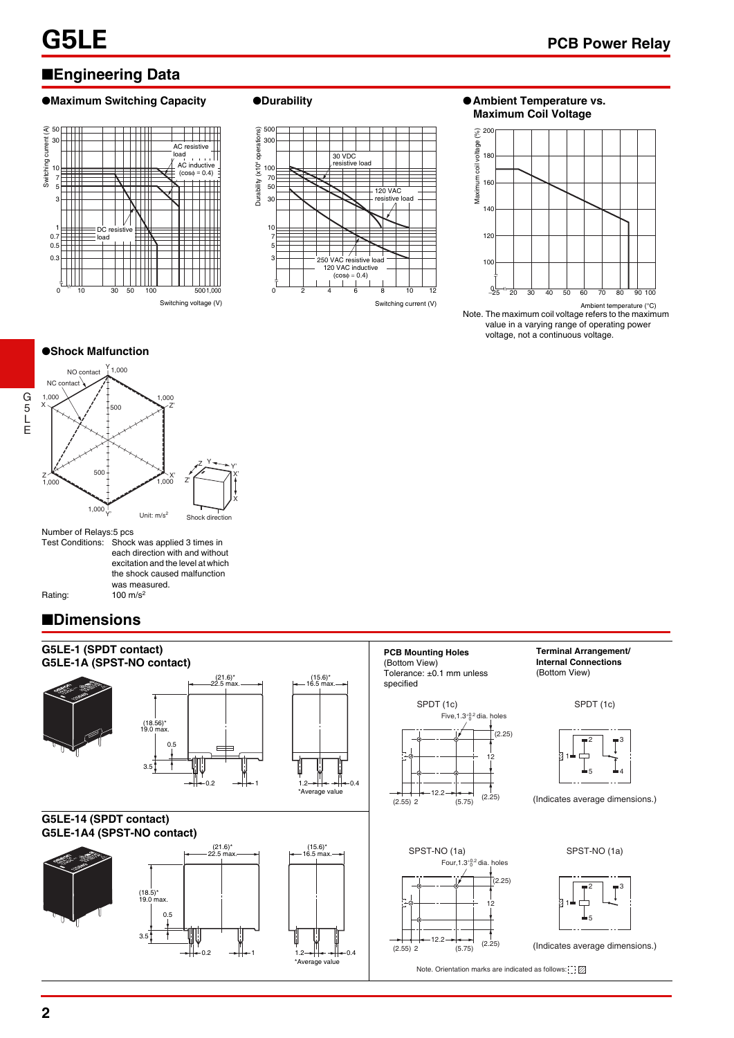## ■**Engineering Data**

#### ●**Maximum Switching Capacity ●Durability ● ● Ambient Temperature vs.**





**Maximum Coil Voltage**



Note. The maximum coil voltage refers to the maximum value in a varying range of operating power voltage, not a continuous voltage. Ambient temperature (°C)

●**Shock Malfunction**



Number of Relays:5 pcs

Test Conditions: Shock was applied 3 times in each direction with and without excitation and the level at which the shock caused malfunction was measured.

Rating: 100 m/s<sup>2</sup>

G 5 L E

## ■**Dimensions**

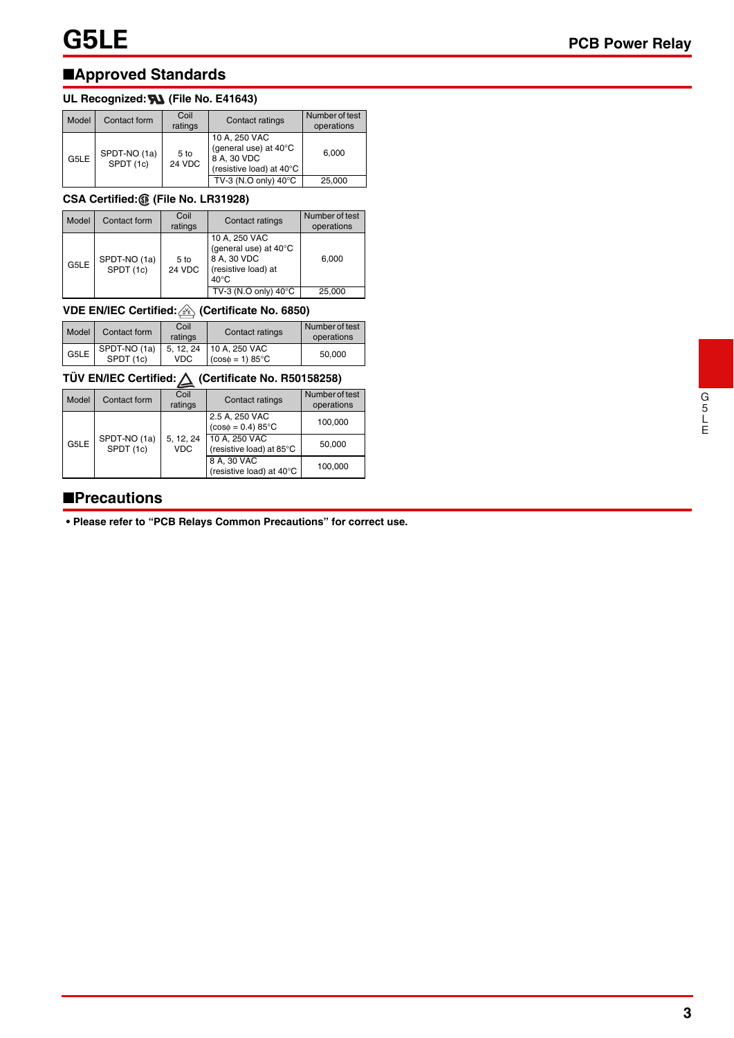## ■**Approved Standards**

## UL Recognized: **W** (File No. E41643)

| Model | Contact form              | Coil<br>ratings | Contact ratings                                                                   | Number of test<br>operations |
|-------|---------------------------|-----------------|-----------------------------------------------------------------------------------|------------------------------|
| G5LE  | SPDT-NO (1a)<br>SPDT (1c) | 5 to<br>24 VDC  | 10 A, 250 VAC<br>(general use) at 40°C<br>8 A, 30 VDC<br>(resistive load) at 40°C | 6.000                        |
|       |                           |                 | TV-3 (N.O only) 40°C                                                              | 25,000                       |

## **CSA Certified: (File No. LR31928)**

| Model | Contact form              | Coil<br>ratings | Contact ratings                                                                                | Number of test<br>operations |
|-------|---------------------------|-----------------|------------------------------------------------------------------------------------------------|------------------------------|
| G5LE  | SPDT-NO (1a)<br>SPDT (1c) | 5 to<br>24 VDC  | 10 A, 250 VAC<br>(general use) at 40°C<br>8 A, 30 VDC<br>(resistive load) at<br>$40^{\circ}$ C | 6.000                        |
|       |                           |                 | TV-3 (N.O only) 40°C                                                                           | 25,000                       |

## **VDE EN/IEC Certified: (Certificate No. 6850)**

| Model | Contact form              | Coil<br>ratings   | Contact ratings                               | Number of test<br>operations |
|-------|---------------------------|-------------------|-----------------------------------------------|------------------------------|
| G5LE  | SPDT-NO (1a)<br>SPDT (1c) | 5, 12, 24<br>VDC. | 10 A, 250 VAC<br>$(cos\phi = 1) 85^{\circ}$ C | 50.000                       |

## **TÜV EN/IEC Certified: (Certificate No. R50158258)**

| Model | Contact form              | Coil<br>ratings         | Contact ratings                                 | Number of test<br>operations |
|-------|---------------------------|-------------------------|-------------------------------------------------|------------------------------|
|       |                           |                         | 2.5 A, 250 VAC<br>$(cos\phi = 0.4) 85^{\circ}C$ | 100,000                      |
| G5LE  | SPDT-NO (1a)<br>SPDT (1c) | 5, 12, 24<br><b>VDC</b> | 10 A, 250 VAC<br>(resistive load) at 85°C       | 50.000                       |
|       |                           |                         | 8 A, 30 VAC<br>(resistive load) at 40°C         | 100.000                      |

## ■**Precautions**

**• Please refer to "PCB Relays Common Precautions" for correct use.**